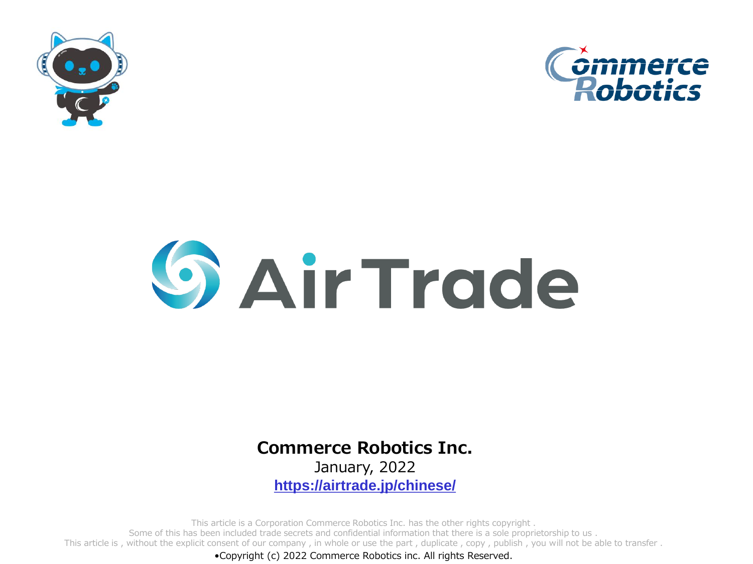



## **GAirTrade**

**Commerce Robotics Inc.**

January, 2022 **<https://airtrade.jp/chinese/>**

This article is a Corporation Commerce Robotics Inc. has the other rights copyright . Some of this has been included trade secrets and confidential information that there is a sole proprietorship to us . This article is, without the explicit consent of our company, in whole or use the part, duplicate, copy, publish, you will not be able to transfer.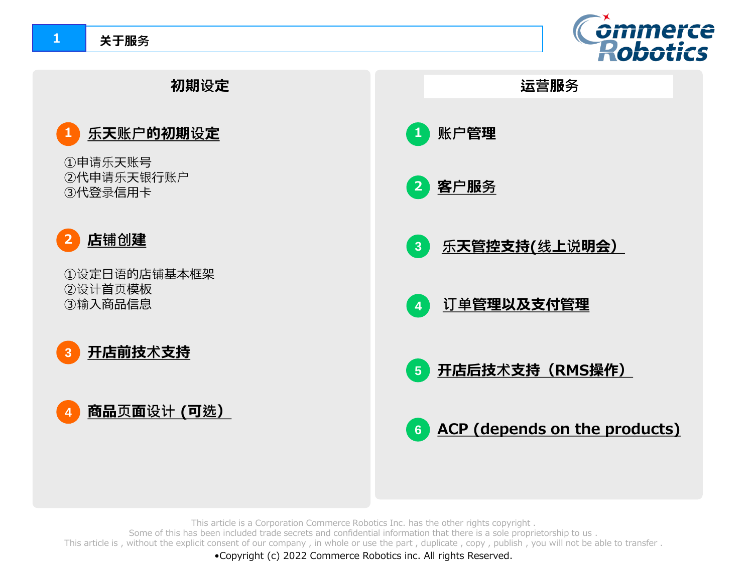



This article is a Corporation Commerce Robotics Inc. has the other rights copyright.

Some of this has been included trade secrets and confidential information that there is a sole proprietorship to us .

This article is, without the explicit consent of our company, in whole or use the part, duplicate, copy, publish, you will not be able to transfer.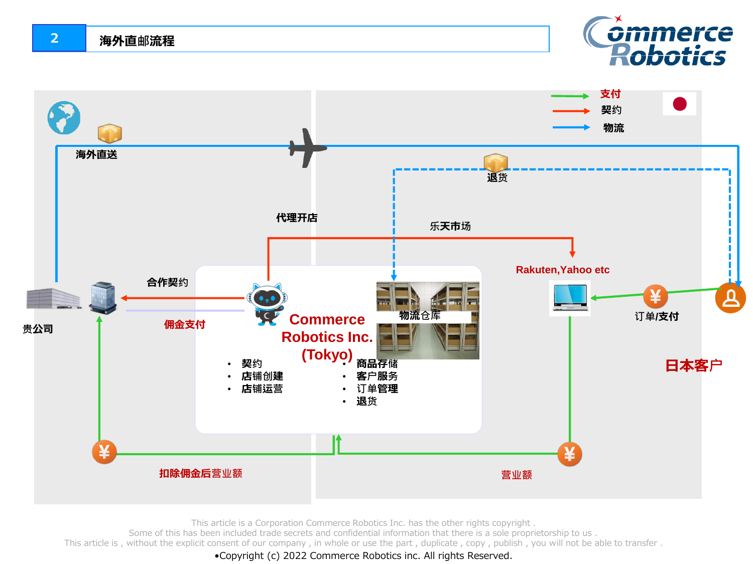**2 海外直邮流程**





This article is a Corporation Commerce Robotics Inc. has the other rights copyright.

Some of this has been included trade secrets and confidential information that there is a sole proprietorship to us .

This article is, without the explicit consent of our company, in whole or use the part, duplicate, copy, publish, you will not be able to transfer.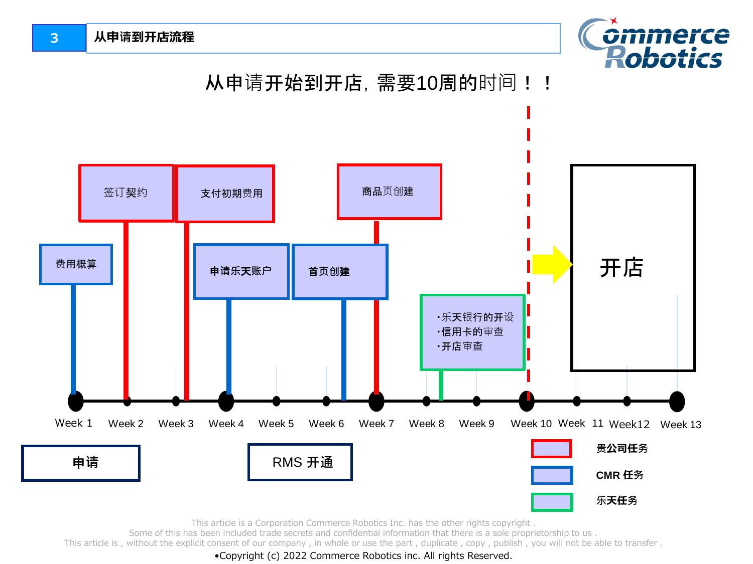

## 从申请开始到开店,需要10周的时间!!



This article is a Corporation Commerce Robotics Inc. has the other rights copyright .

Some of this has been included trade secrets and confidential information that there is a sole proprietorship to us .

This article is, without the explicit consent of our company, in whole or use the part, duplicate, copy, publish, you will not be able to transfer.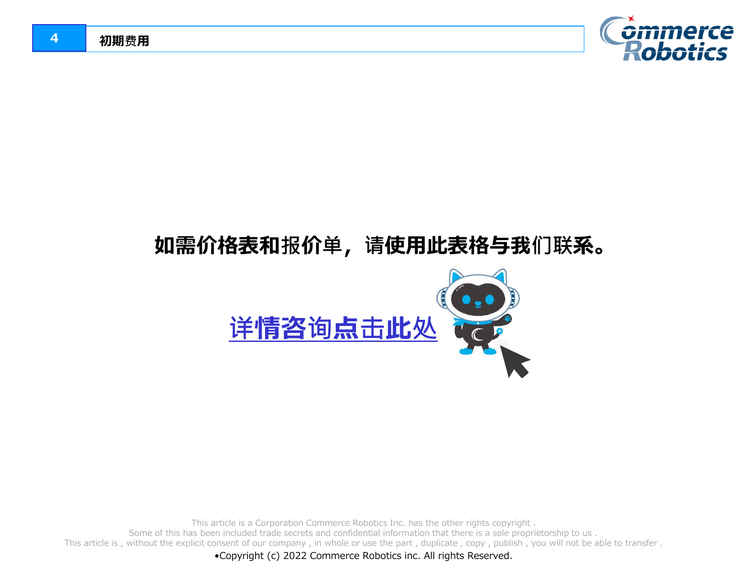

## **如需价格表和报价单,请使用此表格与我们联系。**



This article is a Corporation Commerce Robotics Inc. has the other rights copyright.

Some of this has been included trade secrets and confidential information that there is a sole proprietorship to us .

This article is , without the explicit consent of our company , in whole or use the part , duplicate , copy , publish , you will not be able to transfer .